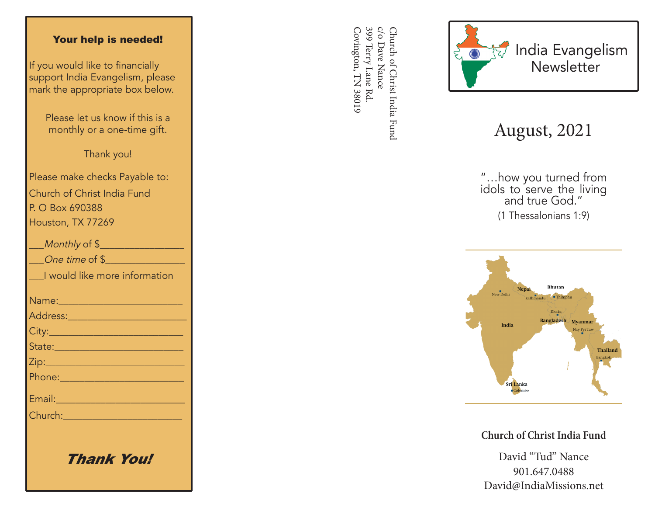#### Your help is needed!

If you would like to financially support India Evangelism, please mark the appropriate box below.

> Please let us know if this is a monthly or a one-time gift.

> > Thank you!

Please make checks Payable to: Church of Christ India Fund P. O Box 690388 Houston, TX 77269

| Monthly of \$                                                                                                 |
|---------------------------------------------------------------------------------------------------------------|
| One time of \$                                                                                                |
| I would like more information                                                                                 |
|                                                                                                               |
|                                                                                                               |
|                                                                                                               |
| State: 2008 - 2008 - 2010 - 2011 - 2012 - 2012 - 2012 - 2012 - 2014 - 2014 - 2014 - 2014 - 2014 - 2014 - 2014 |
|                                                                                                               |
|                                                                                                               |
| Email: 2008 - 2008 - 2014 - 2014 - 2014 - 2014 - 2014 - 2014 - 2014 - 2014 - 2014 - 2014 - 2014 - 2014 - 2014 |
| Church: 2008 2009 2009 2010 2021 2022 2023 2024 2022 2023 2024 2022 2023 2024 2025 2026 2027 2028 20          |
|                                                                                                               |
|                                                                                                               |

Thank You!

399 Terry Lane Rd c/o Dave Nance Covington, TN 38019 Covington, TN 38019 399 Terry Lane Rd. c/o Dave Nance Church of Christ India Fund Church of Christ India Fund



# August, 2021

"…how you turned from idols to serve the living and true God." (1 Thessalonians 1:9)



**Church of Christ India Fund**

David "Tud" Nance 901.647.0488 David@IndiaMissions.net